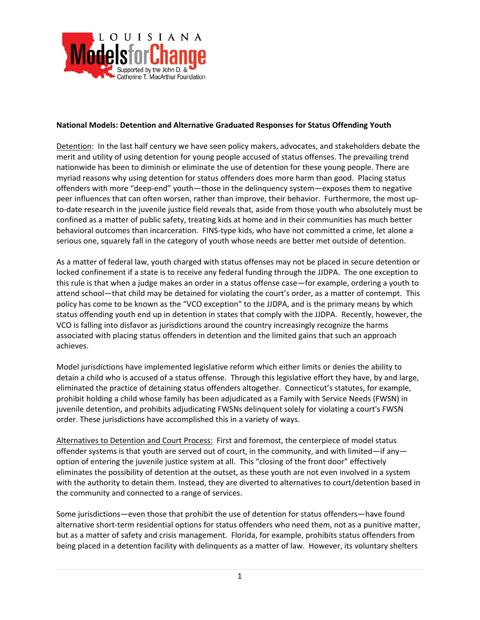

## **National Models: Detention and Alternative Graduated Responses for Status Offending Youth**

Detention: In the last half century we have seen policy makers, advocates, and stakeholders debate the merit and utility of using detention for young people accused of status offenses. The prevailing trend nationwide has been to diminish or eliminate the use of detention for these young people. There are myriad reasons why using detention for status offenders does more harm than good. Placing status offenders with more "deep‐end" youth—those in the delinquency system—exposes them to negative peer influences that can often worsen, rather than improve, their behavior. Furthermore, the most upto-date research in the juvenile justice field reveals that, aside from those youth who absolutely must be confined as a matter of public safety, treating kids at home and in their communities has much better behavioral outcomes than incarceration. FINS‐type kids, who have not committed a crime, let alone a serious one, squarely fall in the category of youth whose needs are better met outside of detention.

As a matter of federal law, youth charged with status offenses may not be placed in secure detention or locked confinement if a state is to receive any federal funding through the JJDPA. The one exception to this rule is that when a judge makes an order in a status offense case—for example, ordering a youth to attend school—that child may be detained for violating the court's order, as a matter of contempt. This policy has come to be known as the "VCO exception" to the JJDPA, and is the primary means by which status offending youth end up in detention in states that comply with the JJDPA. Recently, however, the VCO is falling into disfavor as jurisdictions around the country increasingly recognize the harms associated with placing status offenders in detention and the limited gains that such an approach achieves.

Model jurisdictions have implemented legislative reform which either limits or denies the ability to detain a child who is accused of a status offense. Through this legislative effort they have, by and large, eliminated the practice of detaining status offenders altogether. Connecticut's statutes, for example, prohibit holding a child whose family has been adjudicated as a Family with Service Needs (FWSN) in juvenile detention, and prohibits adjudicating FWSNs delinquent solely for violating a court's FWSN order. These jurisdictions have accomplished this in a variety of ways.

Alternatives to Detention and Court Process: First and foremost, the centerpiece of model status offender systems is that youth are served out of court, in the community, and with limited—if any option of entering the juvenile justice system at all. This "closing of the front door" effectively eliminates the possibility of detention at the outset, as these youth are not even involved in a system with the authority to detain them. Instead, they are diverted to alternatives to court/detention based in the community and connected to a range of services.

Some jurisdictions—even those that prohibit the use of detention for status offenders—have found alternative short-term residential options for status offenders who need them, not as a punitive matter, but as a matter of safety and crisis management. Florida, for example, prohibits status offenders from being placed in a detention facility with delinquents as a matter of law. However, its voluntary shelters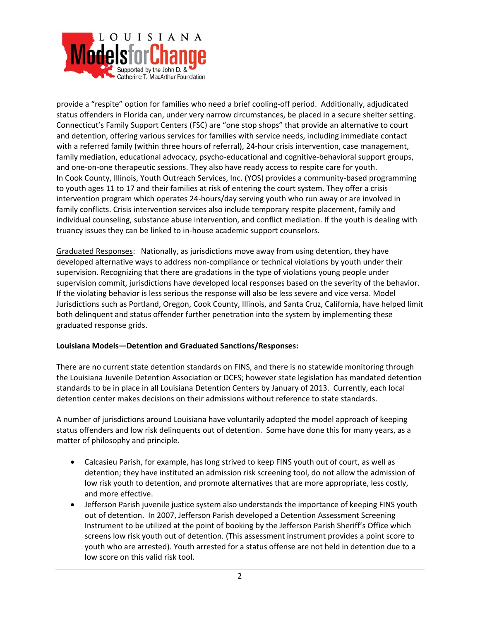

provide a "respite" option for families who need a brief cooling‐off period. Additionally, adjudicated status offenders in Florida can, under very narrow circumstances, be placed in a secure shelter setting. Connecticut's Family Support Centers (FSC) are "one stop shops" that provide an alternative to court and detention, offering various services for families with service needs, including immediate contact with a referred family (within three hours of referral), 24-hour crisis intervention, case management, family mediation, educational advocacy, psycho‐educational and cognitive‐behavioral support groups, and one-on-one therapeutic sessions. They also have ready access to respite care for youth. In Cook County, Illinois, Youth Outreach Services, Inc. (YOS) provides a community‐based programming to youth ages 11 to 17 and their families at risk of entering the court system. They offer a crisis intervention program which operates 24‐hours/day serving youth who run away or are involved in family conflicts. Crisis intervention services also include temporary respite placement, family and individual counseling, substance abuse intervention, and conflict mediation. If the youth is dealing with truancy issues they can be linked to in‐house academic support counselors.

Graduated Responses: Nationally, as jurisdictions move away from using detention, they have developed alternative ways to address non‐compliance or technical violations by youth under their supervision. Recognizing that there are gradations in the type of violations young people under supervision commit, jurisdictions have developed local responses based on the severity of the behavior. If the violating behavior is less serious the response will also be less severe and vice versa. Model Jurisdictions such as Portland, Oregon, Cook County, Illinois, and Santa Cruz, California, have helped limit both delinquent and status offender further penetration into the system by implementing these graduated response grids.

# **Louisiana Models—Detention and Graduated Sanctions/Responses:**

There are no current state detention standards on FINS, and there is no statewide monitoring through the Louisiana Juvenile Detention Association or DCFS; however state legislation has mandated detention standards to be in place in all Louisiana Detention Centers by January of 2013. Currently, each local detention center makes decisions on their admissions without reference to state standards.

A number of jurisdictions around Louisiana have voluntarily adopted the model approach of keeping status offenders and low risk delinquents out of detention. Some have done this for many years, as a matter of philosophy and principle.

- Calcasieu Parish, for example, has long strived to keep FINS youth out of court, as well as detention; they have instituted an admission risk screening tool, do not allow the admission of low risk youth to detention, and promote alternatives that are more appropriate, less costly, and more effective.
- Jefferson Parish juvenile justice system also understands the importance of keeping FINS youth out of detention. In 2007, Jefferson Parish developed a Detention Assessment Screening Instrument to be utilized at the point of booking by the Jefferson Parish Sheriff's Office which screens low risk youth out of detention. (This assessment instrument provides a point score to youth who are arrested). Youth arrested for a status offense are not held in detention due to a low score on this valid risk tool.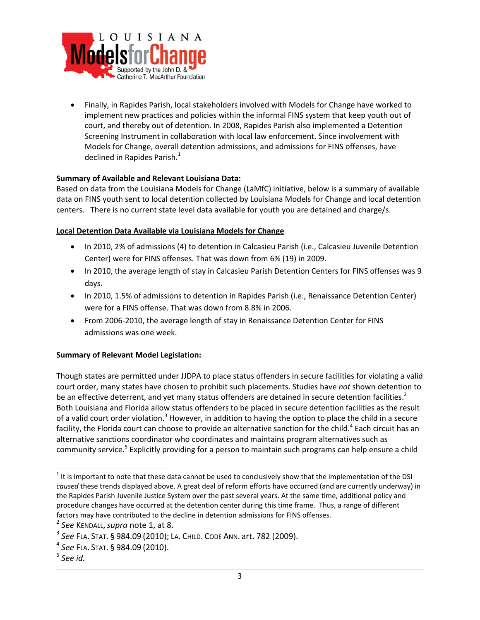

 Finally, in Rapides Parish, local stakeholders involved with Models for Change have worked to implement new practices and policies within the informal FINS system that keep youth out of court, and thereby out of detention. In 2008, Rapides Parish also implemented a Detention Screening Instrument in collaboration with local law enforcement. Since involvement with Models for Change, overall detention admissions, and admissions for FINS offenses, have declined in Rapides Parish.<sup>1</sup>

# **Summary of Available and Relevant Louisiana Data:**

Based on data from the Louisiana Models for Change (LaMfC) initiative, below is a summary of available data on FINS youth sent to local detention collected by Louisiana Models for Change and local detention centers. There is no current state level data available for youth you are detained and charge/s.

## **Local Detention Data Available via Louisiana Models for Change**

- In 2010, 2% of admissions (4) to detention in Calcasieu Parish (i.e., Calcasieu Juvenile Detention Center) were for FINS offenses. That was down from 6% (19) in 2009.
- In 2010, the average length of stay in Calcasieu Parish Detention Centers for FINS offenses was 9 days.
- In 2010, 1.5% of admissions to detention in Rapides Parish (i.e., Renaissance Detention Center) were for a FINS offense. That was down from 8.8% in 2006.
- From 2006‐2010, the average length of stay in Renaissance Detention Center for FINS admissions was one week.

# **Summary of Relevant Model Legislation:**

Though states are permitted under JJDPA to place status offenders in secure facilities for violating a valid court order, many states have chosen to prohibit such placements. Studies have *not* shown detention to be an effective deterrent, and yet many status offenders are detained in secure detention facilities.<sup>2</sup> Both Louisiana and Florida allow status offenders to be placed in secure detention facilities as the result of a valid court order violation.<sup>3</sup> However, in addition to having the option to place the child in a secure facility, the Florida court can choose to provide an alternative sanction for the child.<sup>4</sup> Each circuit has an alternative sanctions coordinator who coordinates and maintains program alternatives such as community service.<sup>5</sup> Explicitly providing for a person to maintain such programs can help ensure a child

 $\overline{a}$ 

 $1$  It is important to note that these data cannot be used to conclusively show that the implementation of the DSI *caused* these trends displayed above. A great deal of reform efforts have occurred (and are currently underway) in the Rapides Parish Juvenile Justice System over the past several years. At the same time, additional policy and procedure changes have occurred at the detention center during this time frame. Thus, a range of different factors may have contributed to the decline in detention admissions for FINS offenses.<br>
<sup>2</sup> See KENDALL, supra note 1, at 8.

<sup>3</sup> *See* FLA. STAT. § 984.09 (2010); LA. CHILD. CODE ANN. art. 782 (2009).

<sup>4</sup> *See* FLA. STAT. § 984.09 (2010).

<sup>5</sup> *See id.*